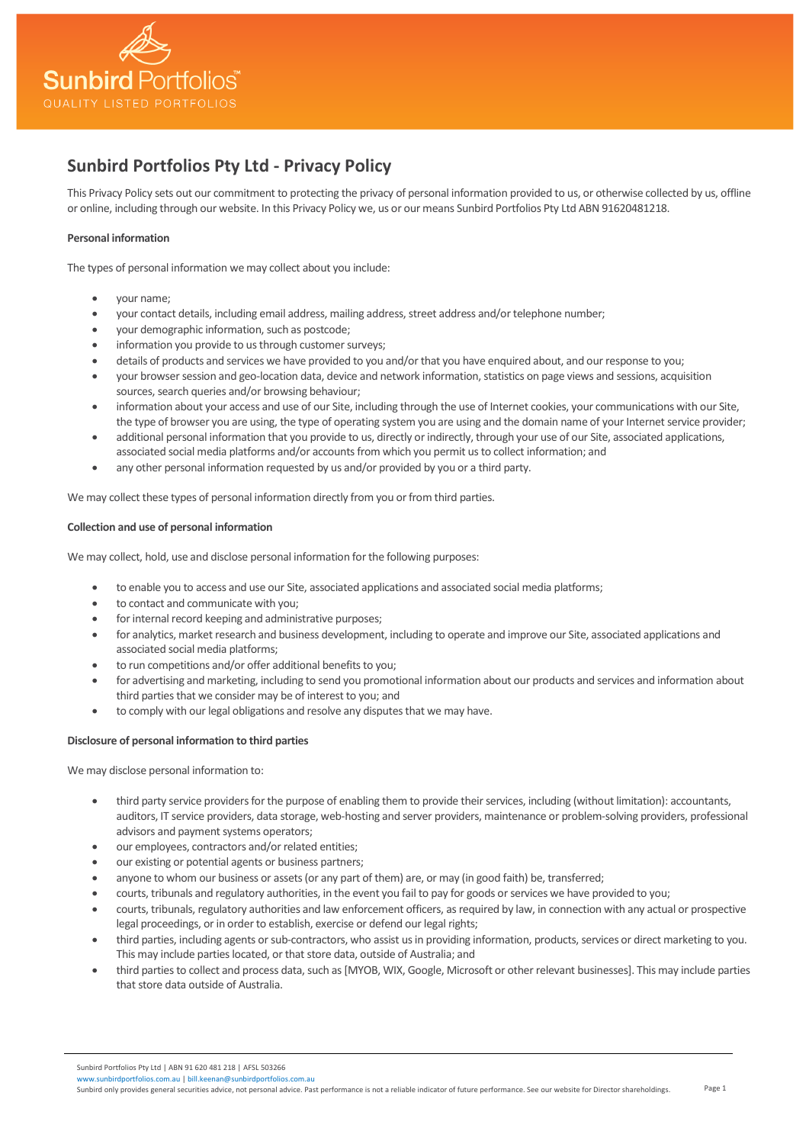

# **Sunbird Portfolios Pty Ltd - Privacy Policy**

This Privacy Policy sets out our commitment to protecting the privacy of personal information provided to us, or otherwise collected by us, offline or online, including through our website. In this Privacy Policy we, us or our means Sunbird Portfolios Pty Ltd ABN 91620481218.

# **Personal information**

The types of personal information we may collect about you include:

- your name;
- your contact details, including email address, mailing address, street address and/or telephone number;
- your demographic information, such as postcode;
- information you provide to us through customer surveys;
- details of products and services we have provided to you and/or that you have enquired about, and our response to you;
- your browser session and geo-location data, device and network information, statistics on page views and sessions, acquisition sources, search queries and/or browsing behaviour;
- information about your access and use of our Site, including through the use of Internet cookies, your communications with our Site, the type of browser you are using, the type of operating system you are using and the domain name of your Internet service provider;
- additional personal information that you provide to us, directly or indirectly, through your use of our Site, associated applications, associated social media platforms and/or accounts from which you permit us to collect information; and
- any other personal information requested by us and/or provided by you or a third party.

We may collect these types of personal information directly from you or from third parties.

# **Collection and use of personal information**

We may collect, hold, use and disclose personal information for the following purposes:

- to enable you to access and use our Site, associated applications and associated social media platforms;
- to contact and communicate with you;
- for internal record keeping and administrative purposes;
- for analytics, market research and business development, including to operate and improve our Site, associated applications and associated social media platforms;
- to run competitions and/or offer additional benefits to you;
- for advertising and marketing, including to send you promotional information about our products and services and information about third parties that we consider may be of interest to you; and
- to comply with our legal obligations and resolve any disputes that we may have.

# **Disclosure of personal information to third parties**

We may disclose personal information to:

- third party service providers for the purpose of enabling them to provide their services, including (without limitation): accountants, auditors, IT service providers, data storage, web-hosting and server providers, maintenance or problem-solving providers, professional advisors and payment systems operators;
- our employees, contractors and/or related entities;
- our existing or potential agents or business partners;
- anyone to whom our business or assets (or any part of them) are, or may (in good faith) be, transferred;
- courts, tribunals and regulatory authorities, in the event you fail to pay for goods or services we have provided to you;
- courts, tribunals, regulatory authorities and law enforcement officers, as required by law, in connection with any actual or prospective legal proceedings, or in order to establish, exercise or defend our legal rights;
- third parties, including agents or sub-contractors, who assist us in providing information, products, services or direct marketing to you. This may include parties located, or that store data, outside of Australia; and
- third parties to collect and process data, such as [MYOB, WIX, Google, Microsoft or other relevant businesses]. This may include parties that store data outside of Australia.

Sunbird Portfolios Pty Ltd | ABN 91 620 481 218 | AFSL 503266 lportfolios.com.au | bill.keenan@sunbirdportfoli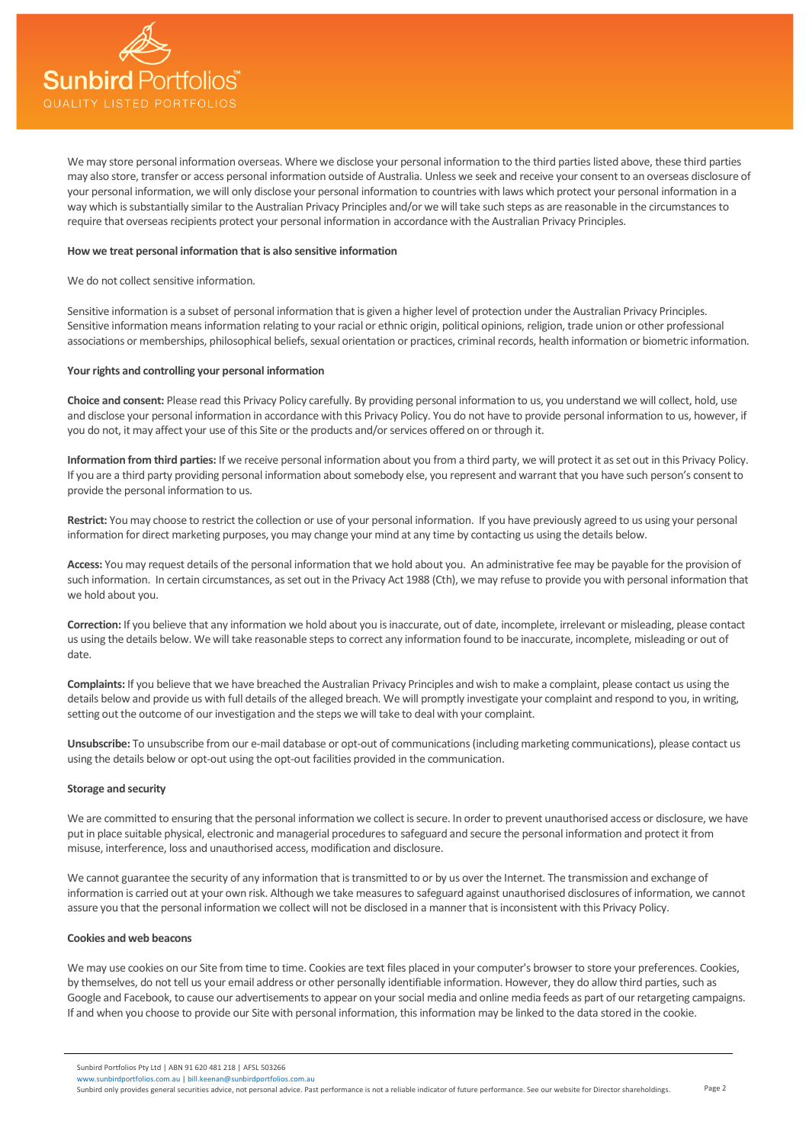

We may store personal information overseas. Where we disclose your personal information to the third parties listed above, these third parties may also store, transfer or access personal information outside of Australia. Unless we seek and receive your consent to an overseas disclosure of your personal information, we will only disclose your personal information to countries with laws which protect your personal information in a way which is substantially similar to the Australian Privacy Principles and/or we will take such steps as are reasonable in the circumstances to require that overseas recipients protect your personal information in accordance with the Australian Privacy Principles.

## **How we treat personal information that is also sensitive information**

We do not collect sensitive information.

Sensitive information is a subset of personal information that is given a higher level of protection under the Australian Privacy Principles. Sensitive information means information relating to your racial or ethnic origin, political opinions, religion, trade union or other professional associations or memberships, philosophical beliefs, sexual orientation or practices, criminal records, health information or biometric information.

# **Your rights and controlling your personal information**

**Choice and consent:** Please read this Privacy Policy carefully. By providing personal information to us, you understand we will collect, hold, use and disclose your personal information in accordance with this Privacy Policy. You do not have to provide personal information to us, however, if you do not, it may affect your use of this Site or the products and/or services offered on or through it.

**Information from third parties:** If we receive personal information about you from a third party, we will protect it as set out in this Privacy Policy. If you are a third party providing personal information about somebody else, you represent and warrant that you have such person's consent to provide the personal information to us.

**Restrict:** You may choose to restrict the collection or use of your personal information. If you have previously agreed to us using your personal information for direct marketing purposes, you may change your mind at any time by contacting us using the details below.

**Access:** You may request details of the personal information that we hold about you. An administrative fee may be payable for the provision of such information. In certain circumstances, as set out in the Privacy Act 1988 (Cth), we may refuse to provide you with personal information that we hold about you.

**Correction:** If you believe that any information we hold about you is inaccurate, out of date, incomplete, irrelevant or misleading, please contact us using the details below. We will take reasonable steps to correct any information found to be inaccurate, incomplete, misleading or out of date.

**Complaints:** If you believe that we have breached the Australian Privacy Principles and wish to make a complaint, please contact us using the details below and provide us with full details of the alleged breach. We will promptly investigate your complaint and respond to you, in writing, setting out the outcome of our investigation and the steps we will take to deal with your complaint.

**Unsubscribe:** To unsubscribe from our e-mail database or opt-out of communications (including marketing communications), please contact us using the details below or opt-out using the opt-out facilities provided in the communication.

#### **Storage and security**

We are committed to ensuring that the personal information we collect is secure. In order to prevent unauthorised access or disclosure, we have put in place suitable physical, electronic and managerial procedures to safeguard and secure the personal information and protect it from misuse, interference, loss and unauthorised access, modification and disclosure.

We cannot guarantee the security of any information that is transmitted to or by us over the Internet. The transmission and exchange of information is carried out at your own risk. Although we take measures to safeguard against unauthorised disclosures of information, we cannot assure you that the personal information we collect will not be disclosed in a manner that is inconsistent with this Privacy Policy.

### **Cookies and web beacons**

We may use cookies on our Site from time to time. Cookies are text files placed in your computer's browser to store your preferences. Cookies, by themselves, do not tell us your email address or other personally identifiable information. However, they do allow third parties, such as Google and Facebook, to cause our advertisements to appear on your social media and online media feeds as part of our retargeting campaigns. If and when you choose to provide our Site with personal information, this information may be linked to the data stored in the cookie.

Sunbird Portfolios Pty Ltd | ABN 91 620 481 218 | AFSL 503266

irdportfolios.com.au | [bill.keenan@sunbirdportfolios.com.au](mailto:bill.keenan@sunbirdportfolios.com.au) Sunbird only provides general securities advice, not personal advice. Past performance is not a reliable indicator of future performance. See our website for Director shareholdings.